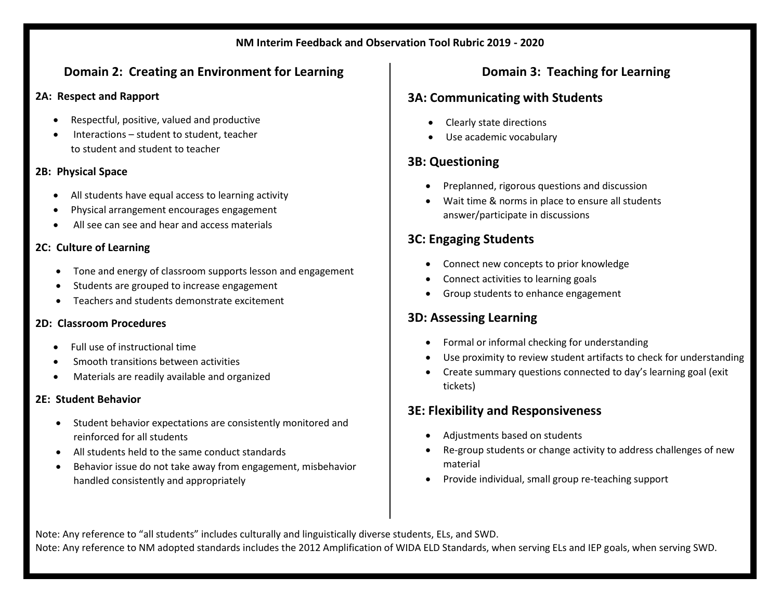### **NM Interim Feedback and Observation Tool Rubric 2019 - 2020**

# **Domain 2: Creating an Environment for Learning**

### **2A: Respect and Rapport**

- Respectful, positive, valued and productive
- Interactions student to student, teacher to student and student to teacher

## **2B: Physical Space**

- All students have equal access to learning activity
- Physical arrangement encourages engagement
- All see can see and hear and access materials

# **2C: Culture of Learning**

- Tone and energy of classroom supports lesson and engagement
- Students are grouped to increase engagement
- Teachers and students demonstrate excitement

## **2D: Classroom Procedures**

- Full use of instructional time
- Smooth transitions between activities
- Materials are readily available and organized

# **2E: Student Behavior**

- Student behavior expectations are consistently monitored and reinforced for all students
- All students held to the same conduct standards
- Behavior issue do not take away from engagement, misbehavior handled consistently and appropriately

# **Domain 3: Teaching for Learning**

# **3A: Communicating with Students**

- Clearly state directions
- Use academic vocabulary

# **3B: Questioning**

- Preplanned, rigorous questions and discussion
- Wait time & norms in place to ensure all students answer/participate in discussions

# **3C: Engaging Students**

- Connect new concepts to prior knowledge
- Connect activities to learning goals
- Group students to enhance engagement

# **3D: Assessing Learning**

- Formal or informal checking for understanding
- Use proximity to review student artifacts to check for understanding
- Create summary questions connected to day's learning goal (exit tickets)

# **3E: Flexibility and Responsiveness**

- Adjustments based on students
- Re-group students or change activity to address challenges of new material
- Provide individual, small group re-teaching support

Note: Any reference to "all students" includes culturally and linguistically diverse students, ELs, and SWD.

Note: Any reference to NM adopted standards includes the 2012 Amplification of WIDA ELD Standards, when serving ELs and IEP goals, when serving SWD.